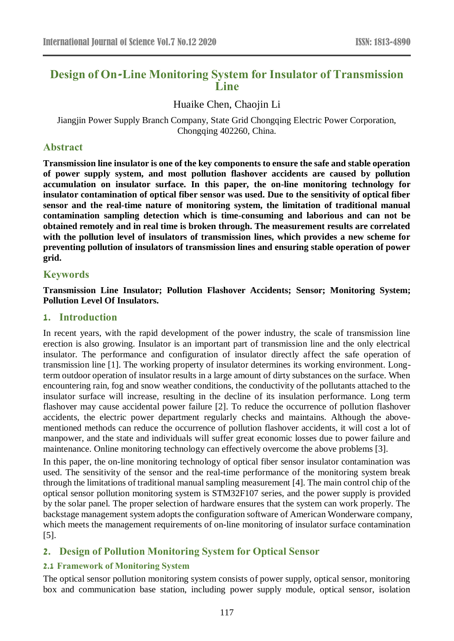# **Design of On-Line Monitoring System for Insulator of Transmission Line**

Huaike Chen, Chaojin Li

Jiangjin Power Supply Branch Company, State Grid Chongqing Electric Power Corporation, Chongqing 402260, China.

# **Abstract**

**Transmission line insulator is one of the key components to ensure the safe and stable operation of power supply system, and most pollution flashover accidents are caused by pollution accumulation on insulator surface. In this paper, the on-line monitoring technology for insulator contamination of optical fiber sensor was used. Due to the sensitivity of optical fiber sensor and the real-time nature of monitoring system, the limitation of traditional manual contamination sampling detection which is time-consuming and laborious and can not be obtained remotely and in real time is broken through. The measurement results are correlated with the pollution level of insulators of transmission lines, which provides a new scheme for preventing pollution of insulators of transmission lines and ensuring stable operation of power grid.**

# **Keywords**

**Transmission Line Insulator; Pollution Flashover Accidents; Sensor; Monitoring System; Pollution Level Of Insulators.**

# **1. Introduction**

In recent years, with the rapid development of the power industry, the scale of transmission line erection is also growing. Insulator is an important part of transmission line and the only electrical insulator. The performance and configuration of insulator directly affect the safe operation of transmission line [1]. The working property of insulator determines its working environment. Longterm outdoor operation of insulator results in a large amount of dirty substances on the surface. When encountering rain, fog and snow weather conditions, the conductivity of the pollutants attached to the insulator surface will increase, resulting in the decline of its insulation performance. Long term flashover may cause accidental power failure [2]. To reduce the occurrence of pollution flashover accidents, the electric power department regularly checks and maintains. Although the abovementioned methods can reduce the occurrence of pollution flashover accidents, it will cost a lot of manpower, and the state and individuals will suffer great economic losses due to power failure and maintenance. Online monitoring technology can effectively overcome the above problems [3].

In this paper, the on-line monitoring technology of optical fiber sensor insulator contamination was used. The sensitivity of the sensor and the real-time performance of the monitoring system break through the limitations of traditional manual sampling measurement [4]. The main control chip of the optical sensor pollution monitoring system is STM32F107 series, and the power supply is provided by the solar panel. The proper selection of hardware ensures that the system can work properly. The backstage management system adopts the configuration software of American Wonderware company, which meets the management requirements of on-line monitoring of insulator surface contamination [5].

# **2. Design of Pollution Monitoring System for Optical Sensor**

# **2.1 Framework of Monitoring System**

The optical sensor pollution monitoring system consists of power supply, optical sensor, monitoring box and communication base station, including power supply module, optical sensor, isolation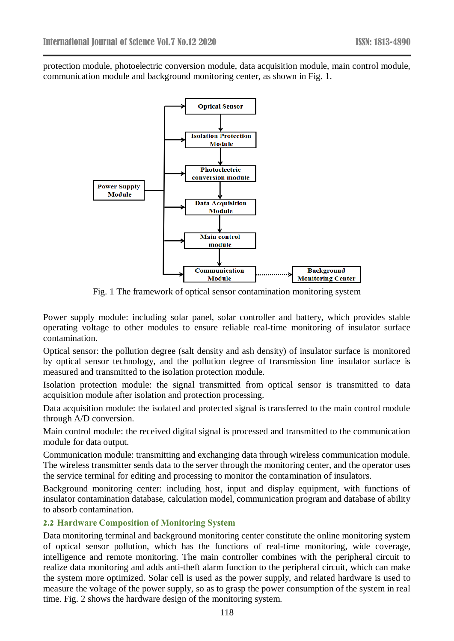protection module, photoelectric conversion module, data acquisition module, main control module, communication module and background monitoring center, as shown in Fig. 1.



Fig. 1 The framework of optical sensor contamination monitoring system

Power supply module: including solar panel, solar controller and battery, which provides stable operating voltage to other modules to ensure reliable real-time monitoring of insulator surface contamination.

Optical sensor: the pollution degree (salt density and ash density) of insulator surface is monitored by optical sensor technology, and the pollution degree of transmission line insulator surface is measured and transmitted to the isolation protection module.

Isolation protection module: the signal transmitted from optical sensor is transmitted to data acquisition module after isolation and protection processing.

Data acquisition module: the isolated and protected signal is transferred to the main control module through A/D conversion.

Main control module: the received digital signal is processed and transmitted to the communication module for data output.

Communication module: transmitting and exchanging data through wireless communication module. The wireless transmitter sends data to the server through the monitoring center, and the operator uses the service terminal for editing and processing to monitor the contamination of insulators.

Background monitoring center: including host, input and display equipment, with functions of insulator contamination database, calculation model, communication program and database of ability to absorb contamination.

# **2.2 Hardware Composition of Monitoring System**

Data monitoring terminal and background monitoring center constitute the online monitoring system of optical sensor pollution, which has the functions of real-time monitoring, wide coverage, intelligence and remote monitoring. The main controller combines with the peripheral circuit to realize data monitoring and adds anti-theft alarm function to the peripheral circuit, which can make the system more optimized. Solar cell is used as the power supply, and related hardware is used to measure the voltage of the power supply, so as to grasp the power consumption of the system in real time. Fig. 2 shows the hardware design of the monitoring system.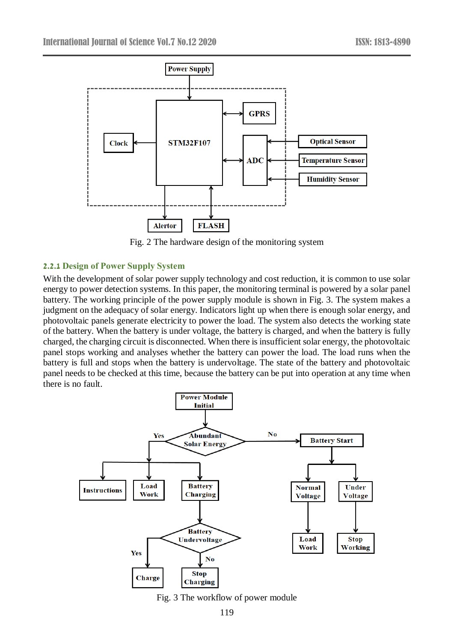

Fig. 2 The hardware design of the monitoring system

#### **2.2.1 Design of Power Supply System**

With the development of solar power supply technology and cost reduction, it is common to use solar energy to power detection systems. In this paper, the monitoring terminal is powered by a solar panel battery. The working principle of the power supply module is shown in Fig. 3. The system makes a judgment on the adequacy of solar energy. Indicators light up when there is enough solar energy, and photovoltaic panels generate electricity to power the load. The system also detects the working state of the battery. When the battery is under voltage, the battery is charged, and when the battery is fully charged, the charging circuit is disconnected. When there is insufficient solar energy, the photovoltaic panel stops working and analyses whether the battery can power the load. The load runs when the battery is full and stops when the battery is undervoltage. The state of the battery and photovoltaic panel needs to be checked at this time, because the battery can be put into operation at any time when there is no fault.



Fig. 3 The workflow of power module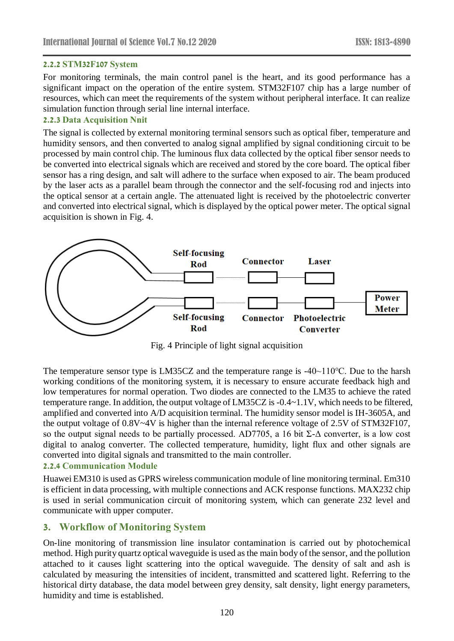#### **2.2.2 STM32F107 System**

For monitoring terminals, the main control panel is the heart, and its good performance has a significant impact on the operation of the entire system. STM32F107 chip has a large number of resources, which can meet the requirements of the system without peripheral interface. It can realize simulation function through serial line internal interface.

#### **2.2.3 Data Acquisition Nnit**

The signal is collected by external monitoring terminal sensors such as optical fiber, temperature and humidity sensors, and then converted to analog signal amplified by signal conditioning circuit to be processed by main control chip. The luminous flux data collected by the optical fiber sensor needs to be converted into electrical signals which are received and stored by the core board. The optical fiber sensor has a ring design, and salt will adhere to the surface when exposed to air. The beam produced by the laser acts as a parallel beam through the connector and the self-focusing rod and injects into the optical sensor at a certain angle. The attenuated light is received by the photoelectric converter and converted into electrical signal, which is displayed by the optical power meter. The optical signal acquisition is shown in Fig. 4.



Fig. 4 Principle of light signal acquisition

The temperature sensor type is LM35CZ and the temperature range is -40~110℃. Due to the harsh working conditions of the monitoring system, it is necessary to ensure accurate feedback high and low temperatures for normal operation. Two diodes are connected to the LM35 to achieve the rated temperature range. In addition, the output voltage of LM35CZ is -0.4~1.1V, which needs to be filtered, amplified and converted into A/D acquisition terminal. The humidity sensor model is IH-3605A, and the output voltage of 0.8V~4V is higher than the internal reference voltage of 2.5V of STM32F107, so the output signal needs to be partially processed. AD7705, a 16 bit  $\Sigma$ - $\Delta$  converter, is a low cost digital to analog converter. The collected temperature, humidity, light flux and other signals are converted into digital signals and transmitted to the main controller.

#### **2.2.4 Communication Module**

Huawei EM310 is used as GPRS wireless communication module of line monitoring terminal. Em310 is efficient in data processing, with multiple connections and ACK response functions. MAX232 chip is used in serial communication circuit of monitoring system, which can generate 232 level and communicate with upper computer.

# **3. Workflow of Monitoring System**

On-line monitoring of transmission line insulator contamination is carried out by photochemical method. High purity quartz optical waveguide is used as the main body of the sensor, and the pollution attached to it causes light scattering into the optical waveguide. The density of salt and ash is calculated by measuring the intensities of incident, transmitted and scattered light. Referring to the historical dirty database, the data model between grey density, salt density, light energy parameters, humidity and time is established.